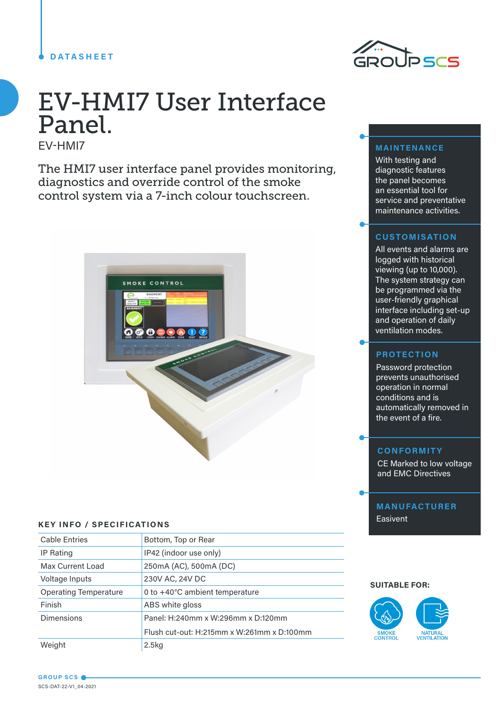# **DATASHEET**



# EV-HMI7 User Interface Panel.

EV-HMI7

The HMI7 user interface panel provides monitoring, diagnostics and override control of the smoke control system via a 7-inch colour touchscreen.



#### **KEY INFO / SPECIFICATIONS**

| <b>Cable Entries</b>         | Bottom, Top or Rear                        |  |
|------------------------------|--------------------------------------------|--|
| IP Rating                    | IP42 (indoor use only)                     |  |
| Max Current Load             | 250mA (AC), 500mA (DC)                     |  |
| Voltage Inputs               | 230V AC, 24V DC                            |  |
| <b>Operating Temperature</b> | 0 to +40°C ambient temperature             |  |
| Finish                       | ABS white gloss                            |  |
| <b>Dimensions</b>            | Panel: H:240mm x W:296mm x D:120mm         |  |
|                              | Flush cut-out: H:215mm x W:261mm x D:100mm |  |
| Weight                       | 2.5 <sub>kq</sub>                          |  |

# **MAINTENANCE**

With testing and diagnostic features the panel becomes an essential tool for service and preventative maintenance activities.

# **CUSTOMISATION**

All events and alarms are logged with historical viewing (up to 10,000). The system strategy can be programmed via the user-friendly graphical interface including set-up and operation of daily ventilation modes.

## **PROTECTION**

Password protection prevents unauthorised operation in normal conditions and is automatically removed in the event of a fire.

#### **CONFORMITY**

CE Marked to low voltage and EMC Directives

**MANUFACTURER** Easivent

#### **SUITABLE FOR:**